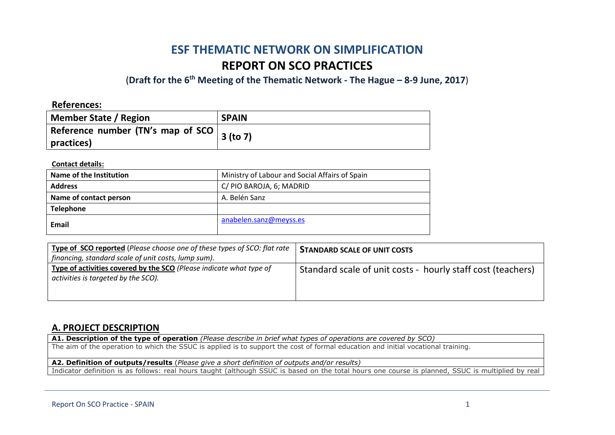# **ESF THEMATIC NETWORK ON SIMPLIFICATION REPORT ON SCO PRACTICES**

(**Draft for the 6th Meeting of the Thematic Network - The Hague – 8-9 June, 2017**)

**References: Member State / Region SPAIN Reference number (TN's map of SCO practices) 3 (to 7)**

**Contact details:**

| Name of the Institution | Ministry of Labour and Social Affairs of Spain |
|-------------------------|------------------------------------------------|
| <b>Address</b>          | C/ PIO BAROJA, 6; MADRID                       |
| Name of contact person  | A. Belén Sanz                                  |
| <b>Telephone</b>        |                                                |
| Email                   | anabelen.sanz@meyss.es                         |

| Type of SCO reported (Please choose one of these types of SCO: flat rate<br>financing, standard scale of unit costs, lump sum). | <b>STANDARD SCALE OF UNIT COSTS</b>                         |
|---------------------------------------------------------------------------------------------------------------------------------|-------------------------------------------------------------|
| Type of activities covered by the SCO (Please indicate what type of<br>activities is targeted by the SCO).                      | Standard scale of unit costs - hourly staff cost (teachers) |

### **A. PROJECT DESCRIPTION**

**A1. Description of the type of operation** *(Please describe in brief what types of operations are covered by SCO)*

The aim of the operation to which the SSUC is applied is to support the cost of formal education and initial vocational training.

**A2. Definition of outputs/results** (*Please give a short definition of outputs and/or results)*

Indicator definition is as follows: real hours taught (although SSUC is based on the total hours one course is planned, SSUC is multiplied by real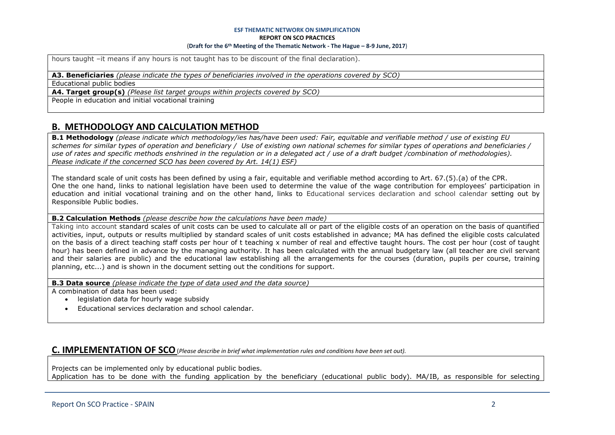#### **ESF THEMATIC NETWORK ON SIMPLIFICATION**

**REPORT ON SCO PRACTICES**

#### (**Draft for the 6th Meeting of the Thematic Network - The Hague – 8-9 June, 2017**)

hours taught –it means if any hours is not taught has to be discount of the final declaration).

**A3. Beneficiaries** *(please indicate the types of beneficiaries involved in the operations covered by SCO)*

Educational public bodies

**A4. Target group(s)** *(Please list target groups within projects covered by SCO)*

People in education and initial vocational training

# **B. METHODOLOGY AND CALCULATION METHOD**

**B.1 Methodology** *(please indicate which methodology/ies has/have been used: Fair, equitable and verifiable method / use of existing EU schemes for similar types of operation and beneficiary / Use of existing own national schemes for similar types of operations and beneficiaries / use of rates and specific methods enshrined in the regulation or in a delegated act / use of a draft budget /combination of methodologies). Please indicate if the concerned SCO has been covered by Art. 14(1) ESF)*

The standard scale of unit costs has been defined by using a fair, equitable and verifiable method according to Art. 67.(5).(a) of the CPR. One the one hand, links to national legislation have been used to determine the value of the wage contribution for employees' participation in education and initial vocational training and on the other hand, links to Educational services declaration and school calendar setting out by Responsible Public bodies.

#### **B.2 Calculation Methods** *(please describe how the calculations have been made)*

Taking into account standard scales of unit costs can be used to calculate all or part of the eligible costs of an operation on the basis of quantified activities, input, outputs or results multiplied by standard scales of unit costs established in advance; MA has defined the eligible costs calculated on the basis of a direct teaching staff costs per hour of t teaching x number of real and effective taught hours. The cost per hour (cost of taught hour) has been defined in advance by the managing authority. It has been calculated with the annual budgetary law (all teacher are civil servant and their salaries are public) and the educational law establishing all the arrangements for the courses (duration, pupils per course, training planning, etc...) and is shown in the document setting out the conditions for support.

**B.3 Data source** *(please indicate the type of data used and the data source)*

A combination of data has been used:

- **.** legislation data for hourly wage subsidy
- Educational services declaration and school calendar.

### **C. IMPLEMENTATION OF SCO**(*Please describe in brief what implementation rules and conditions have been set out).*

Projects can be implemented only by educational public bodies. Application has to be done with the funding application by the beneficiary (educational public body). MA/IB, as responsible for selecting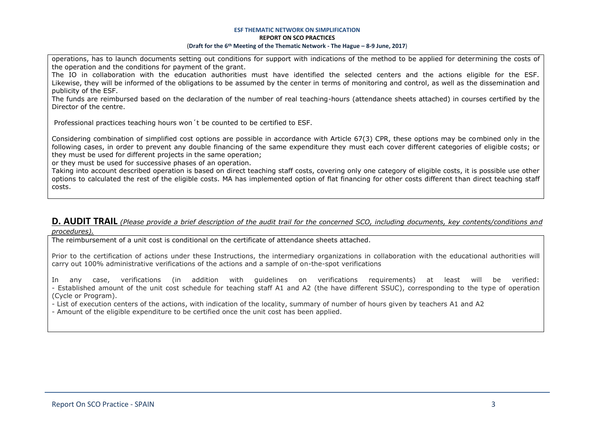#### **ESF THEMATIC NETWORK ON SIMPLIFICATION REPORT ON SCO PRACTICES** (**Draft for the 6th Meeting of the Thematic Network - The Hague – 8-9 June, 2017**)

operations, has to launch documents setting out conditions for support with indications of the method to be applied for determining the costs of the operation and the conditions for payment of the grant.

The IO in collaboration with the education authorities must have identified the selected centers and the actions eligible for the ESF. Likewise, they will be informed of the obligations to be assumed by the center in terms of monitoring and control, as well as the dissemination and publicity of the ESF.

The funds are reimbursed based on the declaration of the number of real teaching-hours (attendance sheets attached) in courses certified by the Director of the centre.

Professional practices teaching hours won´t be counted to be certified to ESF.

Considering combination of simplified cost options are possible in accordance with Article 67(3) CPR, these options may be combined only in the following cases, in order to prevent any double financing of the same expenditure they must each cover different categories of eligible costs; or they must be used for different projects in the same operation;

or they must be used for successive phases of an operation.

Taking into account described operation is based on direct teaching staff costs, covering only one category of eligible costs, it is possible use other options to calculated the rest of the eligible costs. MA has implemented option of flat financing for other costs different than direct teaching staff costs.

### **D. AUDIT TRAIL** *(Please provide a brief description of the audit trail for the concerned SCO, including documents, key contents/conditions and procedures).*

The reimbursement of a unit cost is conditional on the certificate of attendance sheets attached.

Prior to the certification of actions under these Instructions, the intermediary organizations in collaboration with the educational authorities will carry out 100% administrative verifications of the actions and a sample of on-the-spot verifications

In any case, verifications (in addition with guidelines on verifications requirements) at least will be verified: - Established amount of the unit cost schedule for teaching staff A1 and A2 (the have different SSUC), corresponding to the type of operation (Cycle or Program).

- List of execution centers of the actions, with indication of the locality, summary of number of hours given by teachers A1 and A2

- Amount of the eligible expenditure to be certified once the unit cost has been applied.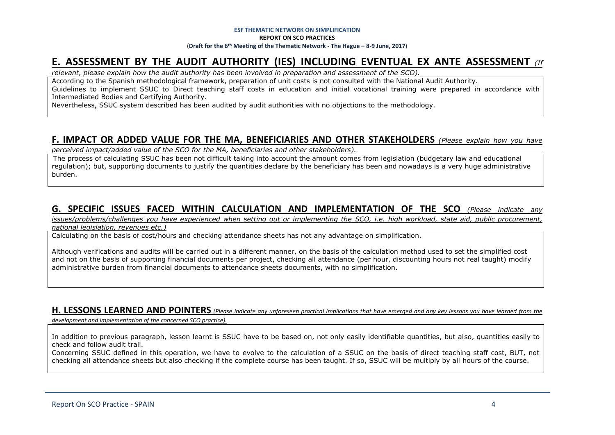# **E. ASSESSMENT BY THE AUDIT AUTHORITY (IES) INCLUDING EVENTUAL EX ANTE ASSESSMENT** *(If*

*relevant, please explain how the audit authority has been involved in preparation and assessment of the SCO).* 

According to the Spanish methodological framework, preparation of unit costs is not consulted with the National Audit Authority. Guidelines to implement SSUC to Direct teaching staff costs in education and initial vocational training were prepared in accordance with Intermediated Bodies and Certifying Authority.

Nevertheless, SSUC system described has been audited by audit authorities with no objections to the methodology.

### **F. IMPACT OR ADDED VALUE FOR THE MA, BENEFICIARIES AND OTHER STAKEHOLDERS** *(Please explain how you have*

*perceived impact/added value of the SCO for the MA, beneficiaries and other stakeholders).* 

The process of calculating SSUC has been not difficult taking into account the amount comes from legislation (budgetary law and educational regulation); but, supporting documents to justify the quantities declare by the beneficiary has been and nowadays is a very huge administrative burden.

## **G. SPECIFIC ISSUES FACED WITHIN CALCULATION AND IMPLEMENTATION OF THE SCO** *(Please indicate any*

*issues/problems/challenges you have experienced when setting out or implementing the SCO, i.e. high workload, state aid, public procurement, national legislation, revenues etc.)*

Calculating on the basis of cost/hours and checking attendance sheets has not any advantage on simplification.

Although verifications and audits will be carried out in a different manner, on the basis of the calculation method used to set the simplified cost and not on the basis of supporting financial documents per project, checking all attendance (per hour, discounting hours not real taught) modify administrative burden from financial documents to attendance sheets documents, with no simplification.

### **H. LESSONS LEARNED AND POINTERS** *(Please indicate any unforeseen practical implications that have emerged and any key lessons you have learned from the*

*development and implementation of the concerned SCO practice).*

In addition to previous paragraph, lesson learnt is SSUC have to be based on, not only easily identifiable quantities, but also, quantities easily to check and follow audit trail.

Concerning SSUC defined in this operation, we have to evolve to the calculation of a SSUC on the basis of direct teaching staff cost, BUT, not checking all attendance sheets but also checking if the complete course has been taught. If so, SSUC will be multiply by all hours of the course.